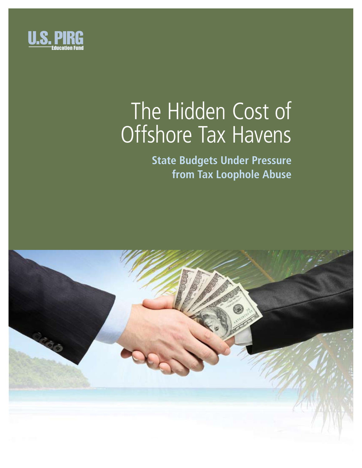

# The Hidden Cost of Offshore Tax Havens

**State Budgets Under Pressure from Tax Loophole Abuse**

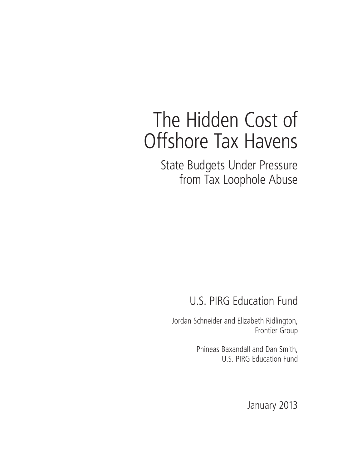# The Hidden Cost of Offshore Tax Havens

State Budgets Under Pressure from Tax Loophole Abuse

U.S. PIRG Education Fund

Jordan Schneider and Elizabeth Ridlington, Frontier Group

> Phineas Baxandall and Dan Smith, U.S. PIRG Education Fund

> > January 2013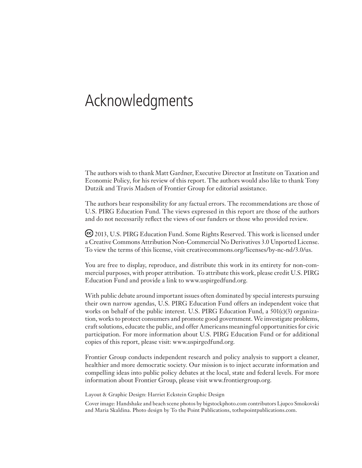# Acknowledgments

The authors wish to thank Matt Gardner, Executive Director at Institute on Taxation and Economic Policy, for his review of this report. The authors would also like to thank Tony Dutzik and Travis Madsen of Frontier Group for editorial assistance.

The authors bear responsibility for any factual errors. The recommendations are those of U.S. PIRG Education Fund. The views expressed in this report are those of the authors and do not necessarily reflect the views of our funders or those who provided review.

 2013, U.S. PIRG Education Fund. Some Rights Reserved. This work is licensed under a Creative Commons Attribution Non-Commercial No Derivatives 3.0 Unported License. To view the terms of this license, visit creativecommons.org/licenses/by-nc-nd/3.0/us.

You are free to display, reproduce, and distribute this work in its entirety for non-commercial purposes, with proper attribution. To attribute this work, please credit U.S. PIRG Education Fund and provide a link to www.uspirgedfund.org.

With public debate around important issues often dominated by special interests pursuing their own narrow agendas, U.S. PIRG Education Fund offers an independent voice that works on behalf of the public interest. U.S. PIRG Education Fund, a 501(c)(3) organization, works to protect consumers and promote good government. We investigate problems, craft solutions, educate the public, and offer Americans meaningful opportunities for civic participation. For more information about U.S. PIRG Education Fund or for additional copies of this report, please visit: www.uspirgedfund.org.

Frontier Group conducts independent research and policy analysis to support a cleaner, healthier and more democratic society. Our mission is to inject accurate information and compelling ideas into public policy debates at the local, state and federal levels. For more information about Frontier Group, please visit www.frontiergroup.org.

Layout & Graphic Design: Harriet Eckstein Graphic Design

Cover image: Handshake and beach scene photos by bigstockphoto.com contributors Ljupco Smokovski and Maria Skaldina. Photo design by To the Point Publications, tothepointpublications.com.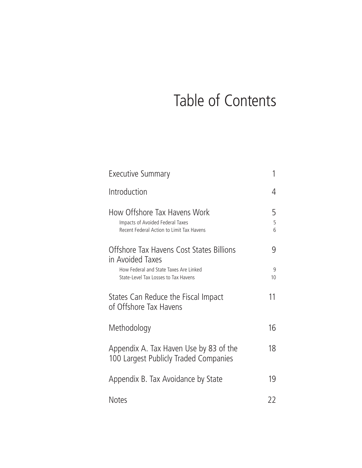# Table of Contents

| Executive Summary                                                                                             | 1           |
|---------------------------------------------------------------------------------------------------------------|-------------|
| Introduction                                                                                                  | 4           |
| How Offshore Tax Havens Work<br>Impacts of Avoided Federal Taxes<br>Recent Federal Action to Limit Tax Havens | 5<br>5<br>6 |
| Offshore Tax Havens Cost States Billions<br>in Avoided Taxes                                                  | 9           |
| How Federal and State Taxes Are Linked<br>State-Level Tax Losses to Tax Havens                                | 9<br>10     |
| States Can Reduce the Fiscal Impact<br>of Offshore Tax Havens                                                 | 11          |
| Methodology                                                                                                   | 16          |
| Appendix A. Tax Haven Use by 83 of the<br>100 Largest Publicly Traded Companies                               | 18          |
| Appendix B. Tax Avoidance by State                                                                            | 19          |
| <b>Notes</b>                                                                                                  | 22          |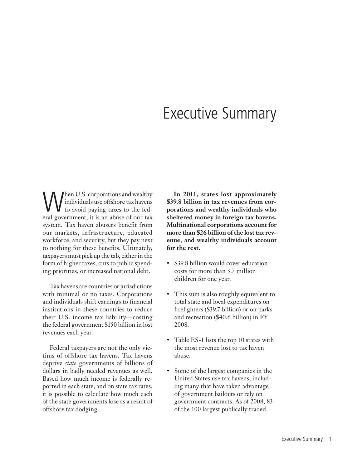### Executive Summary

When U.S. corporations and wealthy<br>to avoid paying taxes to the fed-<br>aral covernment it is an abuse of our tax individuals use offshore tax havens **V** to avoid paying taxes to the federal government, it is an abuse of our tax system. Tax haven abusers benefit from our markets, infrastructure, educated workforce, and security, but they pay next to nothing for these benefits. Ultimately, taxpayers must pick up the tab, either in the form of higher taxes, cuts to public spending priorities, or increased national debt.

Tax havens are countries or jurisdictions with minimal or no taxes. Corporations and individuals shift earnings to financial institutions in these countries to reduce their U.S. income tax liability—costing the federal government \$150 billion in lost revenues each year.

Federal taxpayers are not the only victims of offshore tax havens. Tax havens deprive *state* governments of billions of dollars in badly needed revenues as well. Based how much income is federally reported in each state, and on state tax rates, it is possible to calculate how much each of the state governments lose as a result of offshore tax dodging.

**In 2011, states lost approximately \$39.8 billion in tax revenues from corporations and wealthy individuals who sheltered money in foreign tax havens. Multinational corporations account for more than \$26 billion of the lost tax revenue, and wealthy individuals account for the rest.**

- \$39.8 billion would cover education costs for more than 3.7 million children for one year.
- This sum is also roughly equivalent to total state and local expenditures on firefighters (\$39.7 billion) or on parks and recreation (\$40.6 billion) in FY 2008.
- Table ES-1 lists the top 10 states with the most revenue lost to tax haven abuse.
- • Some of the largest companies in the United States use tax havens, including many that have taken advantage of government bailouts or rely on government contracts. As of 2008, 83 of the 100 largest publically traded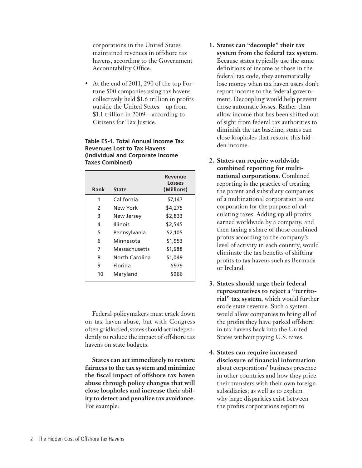corporations in the United States maintained revenues in offshore tax havens, according to the Government Accountability Office.

At the end of 2011, 290 of the top Fortune 500 companies using tax havens collectively held \$1.6 trillion in profits outside the United States—up from \$1.1 trillion in 2009—according to Citizens for Tax Justice.

#### **Table ES-1. Total Annual Income Tax Revenues Lost to Tax Havens (Individual and Corporate Income Taxes Combined)**

| California<br>\$7,147<br>1<br>\$4,275<br>$\mathcal{P}$<br>New York<br>\$2,833<br>3<br>New Jersey<br><b>Illinois</b><br>\$2,545<br>4<br>\$2,105<br>5<br>Pennsylvania<br>\$1,953<br>Minnesota<br>6<br>\$1,688<br>7<br>Massachusetts<br>\$1,049<br>North Carolina<br>8 | (Millions) |
|---------------------------------------------------------------------------------------------------------------------------------------------------------------------------------------------------------------------------------------------------------------------|------------|
|                                                                                                                                                                                                                                                                     |            |
|                                                                                                                                                                                                                                                                     |            |
|                                                                                                                                                                                                                                                                     |            |
|                                                                                                                                                                                                                                                                     |            |
|                                                                                                                                                                                                                                                                     |            |
|                                                                                                                                                                                                                                                                     |            |
|                                                                                                                                                                                                                                                                     |            |
|                                                                                                                                                                                                                                                                     |            |
| \$979<br>9<br>Florida                                                                                                                                                                                                                                               |            |
| \$966<br>10<br>Maryland                                                                                                                                                                                                                                             |            |

Federal policymakers must crack down on tax haven abuse, but with Congress often gridlocked, states should act independently to reduce the impact of offshore tax havens on state budgets.

**States can act immediately to restore fairness to the tax system and minimize the fiscal impact of offshore tax haven abuse through policy changes that will close loopholes and increase their ability to detect and penalize tax avoidance.** For example:

- **1. States can "decouple" their tax system from the federal tax system.**  Because states typically use the same definitions of income as those in the federal tax code, they automatically lose money when tax haven users don't report income to the federal government. Decoupling would help prevent those automatic losses. Rather than allow income that has been shifted out of sight from federal tax authorities to diminish the tax baseline, states can close loopholes that restore this hidden income.
- **2. States can require worldwide combined reporting for multinational corporations.** Combined reporting is the practice of treating the parent and subsidiary companies of a multinational corporation as one corporation for the purpose of calculating taxes. Adding up all profits earned worldwide by a company, and then taxing a share of those combined profits according to the company's level of activity in each country, would eliminate the tax benefits of shifting profits to tax havens such as Bermuda or Ireland.
- **3. States should urge their federal representatives to reject a "territorial" tax system,** which would further erode state revenue. Such a system would allow companies to bring all of the profits they have parked offshore in tax havens back into the United States without paying U.S. taxes.
- **4. States can require increased disclosure of financial information** about corporations' business presence in other countries and how they price their transfers with their own foreign subsidiaries; as well as to explain why large disparities exist between the profits corporations report to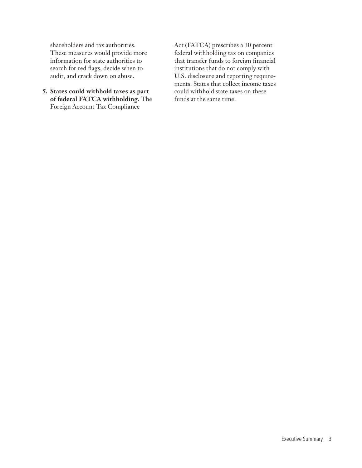shareholders and tax authorities. These measures would provide more information for state authorities to search for red flags, decide when to audit, and crack down on abuse.

**5. States could withhold taxes as part of federal FATCA withholding.** The Foreign Account Tax Compliance

Act (FATCA) prescribes a 30 percent federal withholding tax on companies that transfer funds to foreign financial institutions that do not comply with U.S. disclosure and reporting requirements. States that collect income taxes could withhold state taxes on these funds at the same time.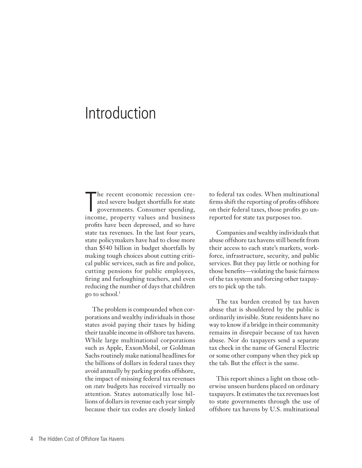## Introduction

The recent economic recession cre-<br>ated severe budget shortfalls for state<br>governments. Consumer spending,<br>income, property values and business he recent economic recession created severe budget shortfalls for state governments. Consumer spending, profits have been depressed, and so have state tax revenues. In the last four years, state policymakers have had to close more than \$540 billion in budget shortfalls by making tough choices about cutting critical public services, such as fire and police, cutting pensions for public employees, firing and furloughing teachers, and even reducing the number of days that children go to school.<sup>1</sup>

The problem is compounded when corporations and wealthy individuals in those states avoid paying their taxes by hiding their taxable income in offshore tax havens. While large multinational corporations such as Apple, ExxonMobil, or Goldman Sachs routinely make national headlines for the billions of dollars in federal taxes they avoid annually by parking profits offshore, the impact of missing federal tax revenues on *state* budgets has received virtually no attention. States automatically lose billions of dollars in revenue each year simply because their tax codes are closely linked

to federal tax codes. When multinational firms shift the reporting of profits offshore on their federal taxes, those profits go unreported for state tax purposes too.

Companies and wealthy individuals that abuse offshore tax havens still benefit from their access to each state's markets, workforce, infrastructure, security, and public services. But they pay little or nothing for those benefits—violating the basic fairness of the tax system and forcing other taxpayers to pick up the tab.

The tax burden created by tax haven abuse that is shouldered by the public is ordinarily invisible. State residents have no way to know if a bridge in their community remains in disrepair because of tax haven abuse. Nor do taxpayers send a separate tax check in the name of General Electric or some other company when they pick up the tab. But the effect is the same.

This report shines a light on those otherwise unseen burdens placed on ordinary taxpayers. It estimates the tax revenues lost to state governments through the use of offshore tax havens by U.S. multinational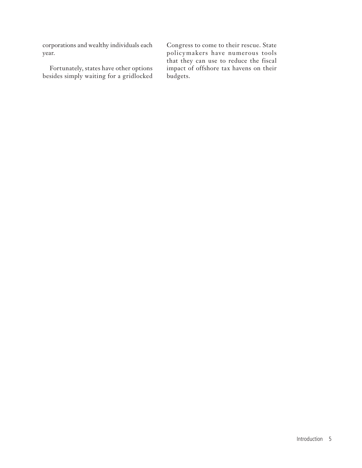corporations and wealthy individuals each year.

Fortunately, states have other options besides simply waiting for a gridlocked

Congress to come to their rescue. State policymakers have numerous tools that they can use to reduce the fiscal impact of offshore tax havens on their budgets.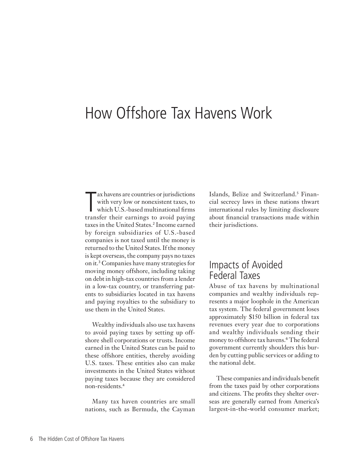## How Offshore Tax Havens Work

The ax havens are countries or jurisdictions<br>with very low or nonexistent taxes, to<br>which U.S.-based multinational firms<br>transfer their earnings to avoid paying ax havens are countries or jurisdictions with very low or nonexistent taxes, to which U.S.-based multinational firms taxes in the United States.<sup>2</sup> Income earned by foreign subsidiaries of U.S.-based companies is not taxed until the money is returned to the United States. If the money is kept overseas, the company pays no taxes on it.<sup>3</sup> Companies have many strategies for moving money offshore, including taking on debt in high-tax countries from a lender in a low-tax country, or transferring patents to subsidiaries located in tax havens and paying royalties to the subsidiary to use them in the United States.

Wealthy individuals also use tax havens to avoid paying taxes by setting up offshore shell corporations or trusts. Income earned in the United States can be paid to these offshore entities, thereby avoiding U.S. taxes. These entities also can make investments in the United States without paying taxes because they are considered non-residents.<sup>4</sup>

Many tax haven countries are small nations, such as Bermuda, the Cayman

Islands, Belize and Switzerland.<sup>5</sup> Financial secrecy laws in these nations thwart international rules by limiting disclosure about financial transactions made within their jurisdictions.

### Impacts of Avoided Federal Taxes

Abuse of tax havens by multinational companies and wealthy individuals represents a major loophole in the American tax system. The federal government loses approximately \$150 billion in federal tax revenues every year due to corporations and wealthy individuals sending their money to offshore tax havens.<sup>6</sup> The federal government currently shoulders this burden by cutting public services or adding to the national debt.

These companies and individuals benefit from the taxes paid by other corporations and citizens. The profits they shelter overseas are generally earned from America's largest-in-the-world consumer market;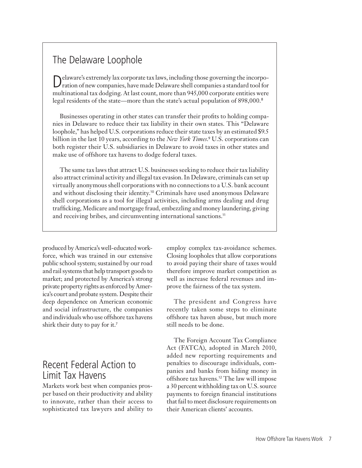### The Delaware Loophole

Delaware's extremely lax corporate tax laws, including those governing the incorpo-ration of new companies, have made Delaware shell companies a standard tool for multinational tax dodging. At last count, more than 945,000 corporate entities were legal residents of the state—more than the state's actual population of 898,000.<sup>8</sup>

Businesses operating in other states can transfer their profits to holding companies in Delaware to reduce their tax liability in their own states. This "Delaware loophole," has helped U.S. corporations reduce their state taxes by an estimated \$9.5 billion in the last 10 years, according to the *New York Times*. 9 U.S. corporations can both register their U.S. subsidiaries in Delaware to avoid taxes in other states and make use of offshore tax havens to dodge federal taxes.

The same tax laws that attract U.S. businesses seeking to reduce their tax liability also attract criminal activity and illegal tax evasion. In Delaware, criminals can set up virtually anonymous shell corporations with no connections to a U.S. bank account and without disclosing their identity.<sup>10</sup> Criminals have used anonymous Delaware shell corporations as a tool for illegal activities, including arms dealing and drug trafficking, Medicare and mortgage fraud, embezzling and money laundering, giving and receiving bribes, and circumventing international sanctions.<sup>11</sup>

produced by America's well-educated workforce, which was trained in our extensive public school system; sustained by our road and rail systems that help transport goods to market; and protected by America's strong private property rights as enforced by America's court and probate system. Despite their deep dependence on American economic and social infrastructure, the companies and individuals who use offshore tax havens shirk their duty to pay for it.<sup>7</sup>

### Recent Federal Action to Limit Tax Havens

Markets work best when companies prosper based on their productivity and ability to innovate, rather than their access to sophisticated tax lawyers and ability to employ complex tax-avoidance schemes. Closing loopholes that allow corporations to avoid paying their share of taxes would therefore improve market competition as well as increase federal revenues and improve the fairness of the tax system.

The president and Congress have recently taken some steps to eliminate offshore tax haven abuse, but much more still needs to be done.

The Foreign Account Tax Compliance Act (FATCA), adopted in March 2010, added new reporting requirements and penalties to discourage individuals, companies and banks from hiding money in offshore tax havens.<sup>12</sup> The law will impose a 30 percent withholding tax on U.S. source payments to foreign financial institutions that fail to meet disclosure requirements on their American clients' accounts.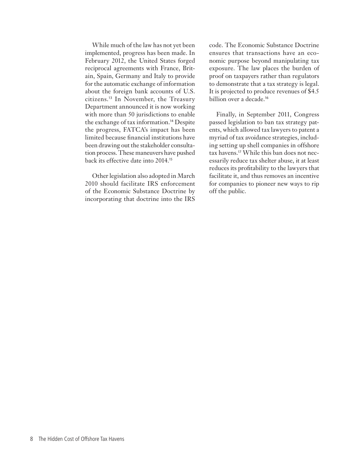While much of the law has not yet been implemented, progress has been made. In February 2012, the United States forged reciprocal agreements with France, Britain, Spain, Germany and Italy to provide for the automatic exchange of information about the foreign bank accounts of U.S. citizens.<sup>13</sup> In November, the Treasury Department announced it is now working with more than 50 jurisdictions to enable the exchange of tax information.<sup>14</sup> Despite the progress, FATCA's impact has been limited because financial institutions have been drawing out the stakeholder consultation process. These maneuvers have pushed back its effective date into 2014.<sup>15</sup>

Other legislation also adopted in March 2010 should facilitate IRS enforcement of the Economic Substance Doctrine by incorporating that doctrine into the IRS

code. The Economic Substance Doctrine ensures that transactions have an economic purpose beyond manipulating tax exposure. The law places the burden of proof on taxpayers rather than regulators to demonstrate that a tax strategy is legal. It is projected to produce revenues of \$4.5 billion over a decade.<sup>16</sup>

Finally, in September 2011, Congress passed legislation to ban tax strategy patents, which allowed tax lawyers to patent a myriad of tax avoidance strategies, including setting up shell companies in offshore tax havens.17 While this ban does not necessarily reduce tax shelter abuse, it at least reduces its profitability to the lawyers that facilitate it, and thus removes an incentive for companies to pioneer new ways to rip off the public.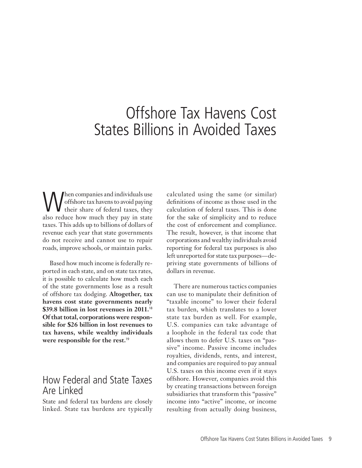## Offshore Tax Havens Cost States Billions in Avoided Taxes

When companies and individuals use<br>offshore tax havens to avoid paying<br>their share of federal taxes, they offshore tax havens to avoid paying Their share of federal taxes, they also reduce how much they pay in state taxes. This adds up to billions of dollars of revenue each year that state governments do not receive and cannot use to repair roads, improve schools, or maintain parks.

Based how much income is federally reported in each state, and on state tax rates, it is possible to calculate how much each of the state governments lose as a result of offshore tax dodging. **Altogether, tax havens cost state governments nearly \$39.8 billion in lost revenues in 2011.**<sup>18</sup> **Of that total, corporations were responsible for \$26 billion in lost revenues to tax havens, while wealthy individuals were responsible for the rest.**<sup>19</sup>

### How Federal and State Taxes Are Linked

State and federal tax burdens are closely linked. State tax burdens are typically calculated using the same (or similar) definitions of income as those used in the calculation of federal taxes. This is done for the sake of simplicity and to reduce the cost of enforcement and compliance. The result, however, is that income that corporations and wealthy individuals avoid reporting for federal tax purposes is also left unreported for state tax purposes—depriving state governments of billions of dollars in revenue.

There are numerous tactics companies can use to manipulate their definition of "taxable income" to lower their federal tax burden, which translates to a lower state tax burden as well. For example, U.S. companies can take advantage of a loophole in the federal tax code that allows them to defer U.S. taxes on "passive" income. Passive income includes royalties, dividends, rents, and interest, and companies are required to pay annual U.S. taxes on this income even if it stays offshore. However, companies avoid this by creating transactions between foreign subsidiaries that transform this "passive" income into "active" income, or income resulting from actually doing business,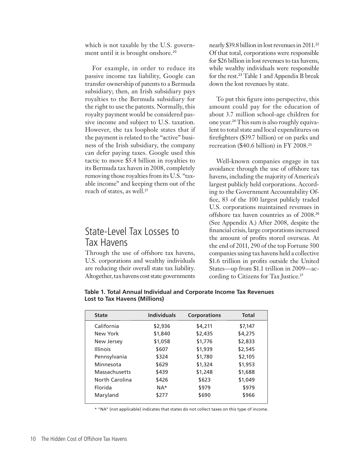which is not taxable by the U.S. government until it is brought onshore.<sup>20</sup>

For example, in order to reduce its passive income tax liability, Google can transfer ownership of patents to a Bermuda subsidiary; then, an Irish subsidiary pays royalties to the Bermuda subsidiary for the right to use the patents. Normally, this royalty payment would be considered passive income and subject to U.S. taxation. However, the tax loophole states that if the payment is related to the "active" business of the Irish subsidiary, the company can defer paying taxes. Google used this tactic to move \$5.4 billion in royalties to its Bermuda tax haven in 2008, completely removing those royalties from its U.S. "taxable income" and keeping them out of the reach of states, as well.<sup>21</sup>

### State-Level Tax Losses to Tax Havens

Through the use of offshore tax havens, U.S. corporations and wealthy individuals are reducing their overall state tax liability. Altogether, tax havens cost state governments nearly \$39.8 billion in lost revenues in 2011.<sup>22</sup> Of that total, corporations were responsible for \$26 billion in lost revenues to tax havens, while wealthy individuals were responsible for the rest.<sup>23</sup> Table 1 and Appendix B break down the lost revenues by state.

To put this figure into perspective, this amount could pay for the education of about 3.7 million school-age children for one year.24 This sum is also roughly equivalent to total state and local expenditures on firefighters (\$39.7 billion) or on parks and recreation (\$40.6 billion) in FY 2008.<sup>25</sup>

Well-known companies engage in tax avoidance through the use of offshore tax havens, including the majority of America's largest publicly held corporations. According to the Government Accountability Office, 83 of the 100 largest publicly traded U.S. corporations maintained revenues in offshore tax haven countries as of 2008.<sup>26</sup> (See Appendix A.) After 2008, despite the financial crisis, large corporations increased the amount of profits stored overseas. At the end of 2011, 290 of the top Fortune 500 companies using tax havens held a collective \$1.6 trillion in profits outside the United States—up from \$1.1 trillion in 2009—according to Citizens for Tax Justice.<sup>27</sup>

| <b>State</b>    | <b>Individuals</b> | <b>Corporations</b> | <b>Total</b> |
|-----------------|--------------------|---------------------|--------------|
| California      | \$2,936            | \$4,211             | \$7,147      |
| New York        | \$1,840            | \$2,435             | \$4,275      |
| New Jersey      | \$1,058            | \$1,776             | \$2,833      |
| <b>Illinois</b> | \$607              | \$1,939             | \$2,545      |
| Pennsylvania    | \$324              | \$1,780             | \$2,105      |
| Minnesota       | \$629              | \$1,324             | \$1,953      |
| Massachusetts   | \$439              | \$1,248             | \$1,688      |
| North Carolina  | \$426              | \$623               | \$1,049      |
| Florida         | $NA*$              | \$979               | \$979        |
| Maryland        | \$277              | \$690               | \$966        |
|                 |                    |                     |              |

**Table 1. Total Annual Individual and Corporate Income Tax Revenues Lost to Tax Havens (Millions)** 

\* "NA" (not applicable) indicates that states do not collect taxes on this type of income.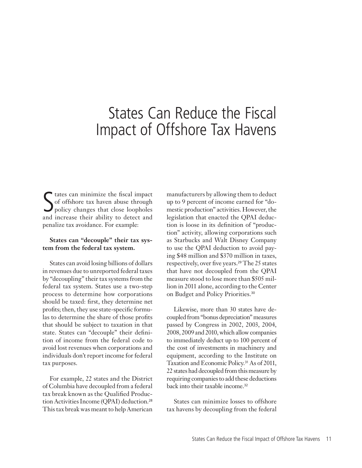# States Can Reduce the Fiscal Impact of Offshore Tax Havens

S tates can minimize the fiscal impact<br>
Sof offshore tax haven abuse through<br>
policy changes that close loopholes<br>
and increase their shility to detect and of offshore tax haven abuse through policy changes that close loopholes and increase their ability to detect and penalize tax avoidance. For example:

#### **States can "decouple" their tax system from the federal tax system.**

States can avoid losing billions of dollars in revenues due to unreported federal taxes by "decoupling" their tax systems from the federal tax system. States use a two-step process to determine how corporations should be taxed: first, they determine net profits; then, they use state-specific formulas to determine the share of those profits that should be subject to taxation in that state. States can "decouple" their definition of income from the federal code to avoid lost revenues when corporations and individuals don't report income for federal tax purposes.

For example, 22 states and the District of Columbia have decoupled from a federal tax break known as the Qualified Production Activities Income (QPAI) deduction.<sup>28</sup> This tax break was meant to help American manufacturers by allowing them to deduct up to 9 percent of income earned for "domestic production" activities. However, the legislation that enacted the QPAI deduction is loose in its definition of "production" activity, allowing corporations such as Starbucks and Walt Disney Company to use the QPAI deduction to avoid paying \$48 million and \$370 million in taxes, respectively, over five years.<sup>29</sup> The 25 states that have not decoupled from the QPAI measure stood to lose more than \$505 million in 2011 alone, according to the Center on Budget and Policy Priorities.<sup>30</sup>

Likewise, more than 30 states have decoupled from "bonus depreciation" measures passed by Congress in 2002, 2003, 2004, 2008, 2009 and 2010, which allow companies to immediately deduct up to 100 percent of the cost of investments in machinery and equipment, according to the Institute on Taxation and Economic Policy.<sup>31</sup> As of 2011, 22 states had decoupled from this measure by requiring companies to add these deductions back into their taxable income.<sup>32</sup>

States can minimize losses to offshore tax havens by decoupling from the federal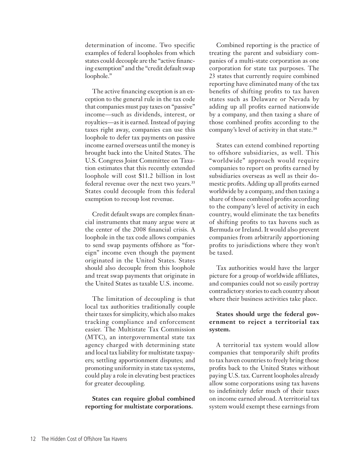determination of income. Two specific examples of federal loopholes from which states could decouple are the "active financing exemption" and the "credit default swap loophole."

The active financing exception is an exception to the general rule in the tax code that companies must pay taxes on "passive" income—such as dividends, interest, or royalties—as it is earned. Instead of paying taxes right away, companies can use this loophole to defer tax payments on passive income earned overseas until the money is brought back into the United States. The U.S. Congress Joint Committee on Taxation estimates that this recently extended loophole will cost \$11.2 billion in lost federal revenue over the next two years.<sup>33</sup> States could decouple from this federal exemption to recoup lost revenue.

Credit default swaps are complex financial instruments that many argue were at the center of the 2008 financial crisis. A loophole in the tax code allows companies to send swap payments offshore as "foreign" income even though the payment originated in the United States. States should also decouple from this loophole and treat swap payments that originate in the United States as taxable U.S. income.

The limitation of decoupling is that local tax authorities traditionally couple their taxes for simplicity, which also makes tracking compliance and enforcement easier. The Multistate Tax Commission (MTC), an intergovernmental state tax agency charged with determining state and local tax liability for multistate taxpayers; settling apportionment disputes; and promoting uniformity in state tax systems, could play a role in elevating best practices for greater decoupling.

**States can require global combined reporting for multistate corporations.**

Combined reporting is the practice of treating the parent and subsidiary companies of a multi-state corporation as one corporation for state tax purposes. The 23 states that currently require combined reporting have eliminated many of the tax benefits of shifting profits to tax haven states such as Delaware or Nevada by adding up all profits earned nationwide by a company, and then taxing a share of those combined profits according to the company's level of activity in that state.<sup>34</sup>

States can extend combined reporting to offshore subsidiaries, as well. This "worldwide" approach would require companies to report on profits earned by subsidiaries overseas as well as their domestic profits. Adding up all profits earned worldwide by a company, and then taxing a share of those combined profits according to the company's level of activity in each country, would eliminate the tax benefits of shifting profits to tax havens such as Bermuda or Ireland. It would also prevent companies from arbitrarily apportioning profits to jurisdictions where they won't be taxed.

Tax authorities would have the larger picture for a group of worldwide affiliates, and companies could not so easily portray contradictory stories to each country about where their business activities take place.

#### **States should urge the federal government to reject a territorial tax system.**

A territorial tax system would allow companies that temporarily shift profits to tax haven countries to freely bring those profits back to the United States without paying U.S. tax. Current loopholes already allow some corporations using tax havens to indefinitely defer much of their taxes on income earned abroad. A territorial tax system would exempt these earnings from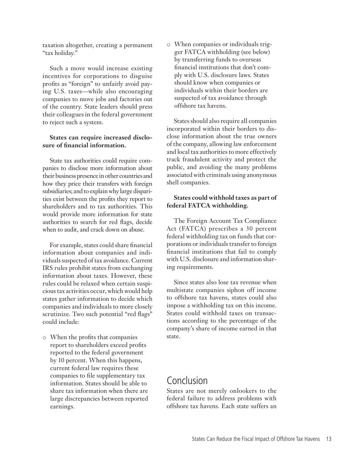taxation altogether, creating a permanent "tax holiday."

Such a move would increase existing incentives for corporations to disguise profits as "foreign" to unfairly avoid paying U.S. taxes—while also encouraging companies to move jobs and factories out of the country. State leaders should press their colleagues in the federal government to reject such a system.

#### **States can require increased disclosure of financial information.**

State tax authorities could require companies to disclose more information about their business presence in other countries and how they price their transfers with foreign subsidiaries; and to explain why large disparities exist between the profits they report to shareholders and to tax authorities. This would provide more information for state authorities to search for red flags, decide when to audit, and crack down on abuse.

For example, states could share financial information about companies and individuals suspected of tax avoidance. Current IRS rules prohibit states from exchanging information about taxes. However, these rules could be relaxed when certain suspicious tax activities occur, which would help states gather information to decide which companies and individuals to more closely scrutinize. Two such potential "red flags" could include:

o When the profits that companies report to shareholders exceed profits reported to the federal government by 10 percent. When this happens, current federal law requires these companies to file supplementary tax information. States should be able to share tax information when there are large discrepancies between reported earnings.

o When companies or individuals trigger FATCA withholding (see below) by transferring funds to overseas financial institutions that don't comply with U.S. disclosure laws. States should know when companies or individuals within their borders are suspected of tax avoidance through offshore tax havens.

States should also require all companies incorporated within their borders to disclose information about the true owners of the company, allowing law enforcement and local tax authorities to more effectively track fraudulent activity and protect the public, and avoiding the many problems associated with criminals using anonymous shell companies.

#### **States could withhold taxes as part of federal FATCA withholding.**

The Foreign Account Tax Compliance Act (FATCA) prescribes a 30 percent federal withholding tax on funds that corporations or individuals transfer to foreign financial institutions that fail to comply with U.S. disclosure and information sharing requirements.

Since states also lose tax revenue when multistate companies siphon off income to offshore tax havens, states could also impose a withholding tax on this income. States could withhold taxes on transactions according to the percentage of the company's share of income earned in that state.

### Conclusion

States are not merely onlookers to the federal failure to address problems with offshore tax havens. Each state suffers an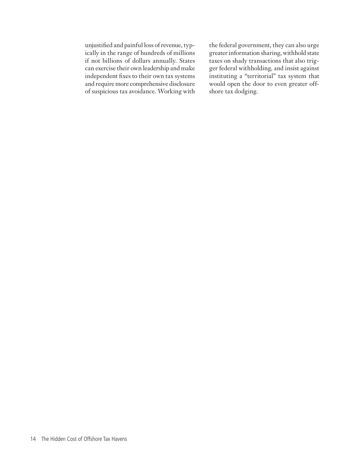unjustified and painful loss of revenue, typically in the range of hundreds of millions if not billions of dollars annually. States can exercise their own leadership and make independent fixes to their own tax systems and require more comprehensive disclosure of suspicious tax avoidance. Working with

the federal government, they can also urge greater information sharing, withhold state taxes on shady transactions that also trigger federal withholding, and insist against instituting a "territorial" tax system that would open the door to even greater offshore tax dodging.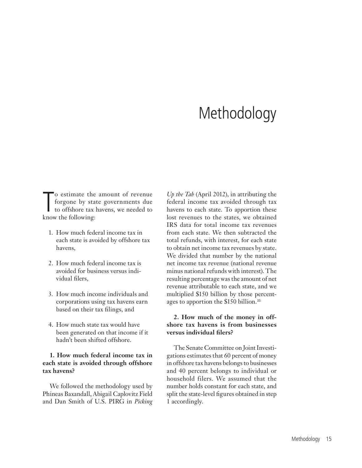# **Methodology**

To estimate the amount of revenue<br>forgone by state governments due<br>to offshore tax havens, we needed to<br>know the following: forgone by state governments due to offshore tax havens, we needed to know the following:

- 1. How much federal income tax in each state is avoided by offshore tax havens,
- 2. How much federal income tax is avoided for business versus individual filers,
- 3. How much income individuals and corporations using tax havens earn based on their tax filings, and
- 4. How much state tax would have been generated on that income if it hadn't been shifted offshore.

#### **1. How much federal income tax in each state is avoided through offshore tax havens?**

We followed the methodology used by Phineas Baxandall, Abigail Caplovitz Field and Dan Smith of U.S. PIRG in *Picking* 

*Up the Tab* (April 2012), in attributing the federal income tax avoided through tax havens to each state. To apportion these lost revenues to the states, we obtained IRS data for total income tax revenues from each state. We then subtracted the total refunds, with interest, for each state to obtain net income tax revenues by state. We divided that number by the national net income tax revenue (national revenue minus national refunds with interest). The resulting percentage was the amount of net revenue attributable to each state, and we multiplied \$150 billion by those percentages to apportion the \$150 billion.<sup>35</sup>

#### **2. How much of the money in offshore tax havens is from businesses versus individual filers?**

The Senate Committee on Joint Investigations estimates that 60 percent of money in offshore tax havens belongs to businesses and 40 percent belongs to individual or household filers. We assumed that the number holds constant for each state, and split the state-level figures obtained in step 1 accordingly.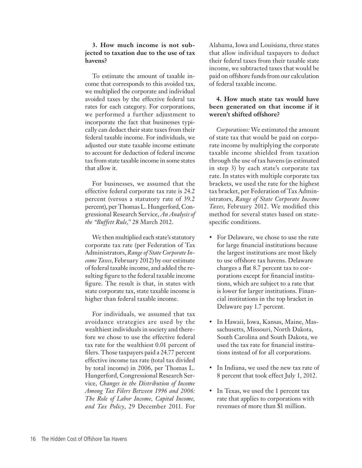#### **3. How much income is not subjected to taxation due to the use of tax havens?**

To estimate the amount of taxable income that corresponds to this avoided tax, we multiplied the corporate and individual avoided taxes by the effective federal tax rates for each category. For corporations, we performed a further adjustment to incorporate the fact that businesses typically can deduct their state taxes from their federal taxable income. For individuals, we adjusted our state taxable income estimate to account for deduction of federal income tax from state taxable income in some states that allow it.

For businesses, we assumed that the effective federal corporate tax rate is 24.2 percent (versus a statutory rate of 39.2 percent), per Thomas L. Hungerford, Congressional Research Service, *An Analysis of the "Buffett Rule,"* 28 March 2012.

We then multiplied each state's statutory corporate tax rate (per Federation of Tax Administrators, *Range of State Corporate Income Taxes*, February 2012) by our estimate of federal taxable income, and added the resulting figure to the federal taxable income figure. The result is that, in states with state corporate tax, state taxable income is higher than federal taxable income.

For individuals, we assumed that tax avoidance strategies are used by the wealthiest individuals in society and therefore we chose to use the effective federal tax rate for the wealthiest 0.01 percent of filers. Those taxpayers paid a 24.77 percent effective income tax rate (total tax divided by total income) in 2006, per Thomas L. Hungerford, Congressional Research Service, *Changes in the Distribution of Income Among Tax Filers Between 1996 and 2006: The Role of Labor Income, Capital Income, and Tax Policy*, 29 December 2011. For

Alabama, Iowa and Louisiana, three states that allow individual taxpayers to deduct their federal taxes from their taxable state income, we subtracted taxes that would be paid on offshore funds from our calculation of federal taxable income.

#### **4. How much state tax would have been generated on that income if it weren't shifted offshore?**

*Corporations:* We estimated the amount of state tax that would be paid on corporate income by multiplying the corporate taxable income shielded from taxation through the use of tax havens (as estimated in step 3) by each state's corporate tax rate. In states with multiple corporate tax brackets, we used the rate for the highest tax bracket, per Federation of Tax Administrators, *Range of State Corporate Income Taxes*, February 2012. We modified this method for several states based on statespecific conditions.

- For Delaware, we chose to use the rate for large financial institutions because the largest institutions are most likely to use offshore tax havens. Delaware charges a flat 8.7 percent tax to corporations except for financial institutions, which are subject to a rate that is lower for larger institutions. Financial institutions in the top bracket in Delaware pay 1.7 percent.
- • In Hawaii, Iowa, Kansas, Maine, Massachusetts, Missouri, North Dakota, South Carolina and South Dakota, we used the tax rate for financial institutions instead of for all corporations.
- In Indiana, we used the new tax rate of 8 percent that took effect July 1, 2012.
- In Texas, we used the 1 percent tax rate that applies to corporations with revenues of more than \$1 million.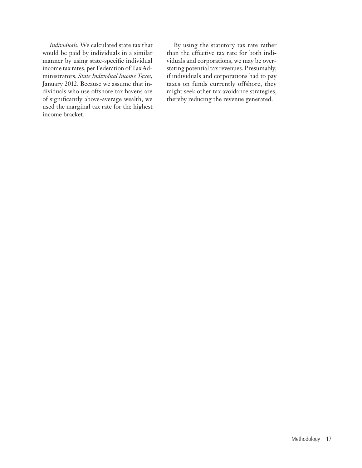*Individuals:* We calculated state tax that would be paid by individuals in a similar manner by using state-specific individual income tax rates, per Federation of Tax Administrators, *State Individual Income Taxes*, January 2012. Because we assume that individuals who use offshore tax havens are of significantly above-average wealth, we used the marginal tax rate for the highest income bracket.

By using the statutory tax rate rather than the effective tax rate for both individuals and corporations, we may be overstating potential tax revenues. Presumably, if individuals and corporations had to pay taxes on funds currently offshore, they might seek other tax avoidance strategies, thereby reducing the revenue generated.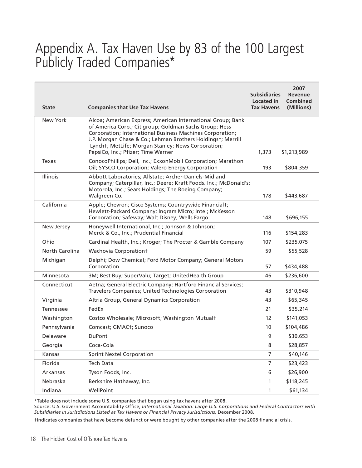### Appendix A. Tax Haven Use by 83 of the 100 Largest Publicly Traded Companies\*

| <b>State</b>    | <b>Companies that Use Tax Havens</b>                                                                                                                                                                                                                                                                                                          | <b>Subsidiaries</b><br>Located in<br><b>Tax Havens</b> | 2007<br><b>Revenue</b><br><b>Combined</b><br>(Millions) |
|-----------------|-----------------------------------------------------------------------------------------------------------------------------------------------------------------------------------------------------------------------------------------------------------------------------------------------------------------------------------------------|--------------------------------------------------------|---------------------------------------------------------|
| <b>New York</b> | Alcoa; American Express; American International Group; Bank<br>of America Corp.; Citigroup; Goldman Sachs Group; Hess<br>Corporation; International Business Machines Corporation;<br>J.P. Morgan Chase & Co.; Lehman Brothers Holdingst; Merrill<br>Lyncht; MetLife; Morgan Stanley; News Corporation;<br>PepsiCo, Inc.; Pfizer; Time Warner | 1,373                                                  | \$1,213,989                                             |
| <b>Texas</b>    | ConocoPhillips; Dell, Inc.; ExxonMobil Corporation; Marathon<br>Oil; SYSCO Corporation; Valero Energy Corporation                                                                                                                                                                                                                             | 193                                                    | \$804,359                                               |
| Illinois        | Abbott Laboratories; Allstate; Archer-Daniels-Midland<br>Company; Caterpillar, Inc.; Deere; Kraft Foods. Inc.; McDonald's;<br>Motorola, Inc.; Sears Holdings; The Boeing Company;<br>Walgreen Co.                                                                                                                                             | 178                                                    | \$443,687                                               |
| California      | Apple; Chevron; Cisco Systems; Countrywide Financialt;<br>Hewlett-Packard Company; Ingram Micro; Intel; McKesson<br>Corporation; Safeway; Walt Disney; Wells Fargo                                                                                                                                                                            | 148                                                    | \$696,155                                               |
| New Jersey      | Honeywell International, Inc.; Johnson & Johnson;<br>Merck & Co., Inc.; Prudential Financial                                                                                                                                                                                                                                                  | 116                                                    | \$154,283                                               |
| Ohio            | Cardinal Health, Inc.; Kroger; The Procter & Gamble Company                                                                                                                                                                                                                                                                                   | 107                                                    | \$235,075                                               |
| North Carolina  | Wachovia Corporationt                                                                                                                                                                                                                                                                                                                         | 59                                                     | \$55,528                                                |
| Michigan        | Delphi; Dow Chemical; Ford Motor Company; General Motors<br>Corporation                                                                                                                                                                                                                                                                       | 57                                                     | \$434,488                                               |
| Minnesota       | 3M; Best Buy; SuperValu; Target; UnitedHealth Group                                                                                                                                                                                                                                                                                           | 46                                                     | \$236,600                                               |
| Connecticut     | Aetna; General Electric Company; Hartford Financial Services;<br>Travelers Companies; United Technologies Corporation                                                                                                                                                                                                                         | 43                                                     | \$310,948                                               |
| Virginia        | Altria Group, General Dynamics Corporation                                                                                                                                                                                                                                                                                                    | 43                                                     | \$65,345                                                |
| Tennessee       | FedEx                                                                                                                                                                                                                                                                                                                                         | 21                                                     | \$35,214                                                |
| Washington      | Costco Wholesale; Microsoft; Washington Mutualt                                                                                                                                                                                                                                                                                               | 12                                                     | \$141,053                                               |
| Pennsylvania    | Comcast; GMAC <sub>t</sub> ; Sunoco                                                                                                                                                                                                                                                                                                           | 10                                                     | \$104,486                                               |
| Delaware        | <b>DuPont</b>                                                                                                                                                                                                                                                                                                                                 | 9                                                      | \$30,653                                                |
| Georgia         | Coca-Cola                                                                                                                                                                                                                                                                                                                                     | 8                                                      | \$28,857                                                |
| Kansas          | <b>Sprint Nextel Corporation</b>                                                                                                                                                                                                                                                                                                              | 7                                                      | \$40,146                                                |
| Florida         | Tech Data                                                                                                                                                                                                                                                                                                                                     | 7                                                      | \$23,423                                                |
| Arkansas        | Tyson Foods, Inc.                                                                                                                                                                                                                                                                                                                             | 6                                                      | \$26,900                                                |
| Nebraska        | Berkshire Hathaway, Inc.                                                                                                                                                                                                                                                                                                                      | $\mathbf{1}$                                           | \$118,245                                               |
| Indiana         | WellPoint                                                                                                                                                                                                                                                                                                                                     | $\mathbf{1}$                                           | \$61,134                                                |

\*Table does not include some U.S. companies that began using tax havens after 2008.

Source: U.S. Government Accountability Office, *International Taxation: Large U.S. Corporations and Federal Contractors with Subsidiaries in Jurisdictions Listed as Tax Havens or Financial Privacy Jurisdictions*, December 2008.

†Indicates companies that have become defunct or were bought by other companies after the 2008 financial crisis.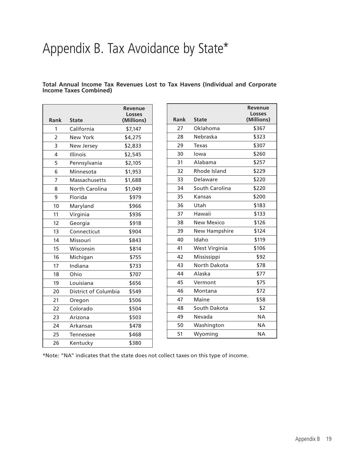# Appendix B. Tax Avoidance by State\*

**Total Annual Income Tax Revenues Lost to Tax Havens (Individual and Corporate Income Taxes Combined)** 

| Rank           | <b>State</b>         | <b>Revenue</b><br><b>Losses</b><br>(Millions) |
|----------------|----------------------|-----------------------------------------------|
| 1              | California           | \$7,147                                       |
| $\overline{2}$ | <b>New York</b>      | \$4,275                                       |
| 3              | New Jersey           | \$2,833                                       |
| 4              | Illinois             | \$2,545                                       |
| 5              | Pennsylvania         | \$2,105                                       |
| 6              | Minnesota            | \$1,953                                       |
| 7              | Massachusetts        | \$1,688                                       |
| 8              | North Carolina       | \$1,049                                       |
| 9              | Florida              | \$979                                         |
| 10             | Maryland             | \$966                                         |
| 11             | Virginia             | \$936                                         |
| 12             | Georgia              | \$918                                         |
| 13             | Connecticut          | \$904                                         |
| 14             | Missouri             | \$843                                         |
| 15             | Wisconsin            | \$814                                         |
| 16             | Michigan             | \$755                                         |
| 17             | Indiana              | \$733                                         |
| 18             | Ohio                 | \$707                                         |
| 19             | Louisiana            | \$656                                         |
| 20             | District of Columbia | \$549                                         |
| 21             | Oregon               | \$506                                         |
| 22             | Colorado             | \$504                                         |
| 23             | Arizona              | \$503                                         |
| 24             | Arkansas             | \$478                                         |
| 25             | Tennessee            | \$468                                         |
| 26             | Kentucky             | \$380                                         |

| Rank | <b>State</b>         | <b>Revenue</b><br><b>Losses</b><br>(Millions) |
|------|----------------------|-----------------------------------------------|
| 27   | Oklahoma             | \$367                                         |
| 28   | Nebraska             | \$323                                         |
| 29   | Texas                | \$307                                         |
| 30   | lowa                 | \$260                                         |
| 31   | Alabama              | \$257                                         |
| 32   | Rhode Island         | \$229                                         |
| 33   | Delaware             | \$220                                         |
| 34   | South Carolina       | \$220                                         |
| 35   | Kansas               | \$200                                         |
| 36   | Utah                 | \$183                                         |
| 37   | Hawaii               | \$133                                         |
| 38   | <b>New Mexico</b>    | \$126                                         |
| 39   | <b>New Hampshire</b> | \$124                                         |
| 40   | Idaho                | \$119                                         |
| 41   | West Virginia        | \$106                                         |
| 42   | Mississippi          | \$92                                          |
| 43   | North Dakota         | \$78                                          |
| 44   | Alaska               | \$77                                          |
| 45   | Vermont              | \$75                                          |
| 46   | Montana              | \$72                                          |
| 47   | Maine                | \$58                                          |
| 48   | South Dakota         | \$2                                           |
| 49   | Nevada               | <b>NA</b>                                     |
| 50   | Washington           | <b>NA</b>                                     |
| 51   | Wyoming              | <b>NA</b>                                     |

\*Note: "NA" indicates that the state does not collect taxes on this type of income.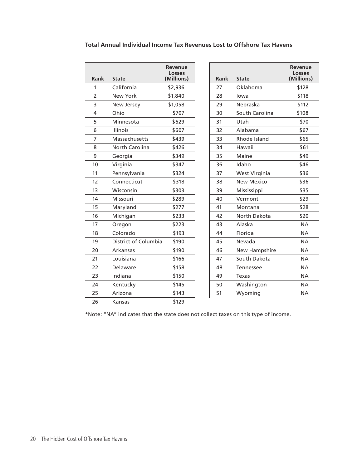|                |                      | Revenue<br><b>Losses</b> |      |                      | <b>Revenue</b><br><b>Losses</b> |
|----------------|----------------------|--------------------------|------|----------------------|---------------------------------|
| <b>Rank</b>    | <b>State</b>         | (Millions)               | Rank | <b>State</b>         | (Millions)                      |
| 1              | California           | \$2,936                  | 27   | Oklahoma             | \$128                           |
| $\overline{2}$ | <b>New York</b>      | \$1,840                  | 28   | lowa                 | \$118                           |
| 3              | New Jersey           | \$1,058                  | 29   | Nebraska             | \$112                           |
| 4              | Ohio                 | \$707                    | 30   | South Carolina       | \$108                           |
| 5              | Minnesota            | \$629                    | 31   | Utah                 | \$70                            |
| 6              | <b>Illinois</b>      | \$607                    | 32   | Alabama              | \$67                            |
| 7              | Massachusetts        | \$439                    | 33   | Rhode Island         | \$65                            |
| 8              | North Carolina       | \$426                    | 34   | Hawaii               | \$61                            |
| 9              | Georgia              | \$349                    | 35   | Maine                | \$49                            |
| 10             | Virginia             | \$347                    | 36   | Idaho                | \$46                            |
| 11             | Pennsylvania         | \$324                    | 37   | West Virginia        | \$36                            |
| 12             | Connecticut          | \$318                    | 38   | <b>New Mexico</b>    | \$36                            |
| 13             | Wisconsin            | \$303                    | 39   | Mississippi          | \$35                            |
| 14             | Missouri             | \$289                    | 40   | Vermont              | \$29                            |
| 15             | Maryland             | \$277                    | 41   | Montana              | \$28                            |
| 16             | Michigan             | \$233                    | 42   | North Dakota         | \$20                            |
| 17             | Oregon               | \$223                    | 43   | Alaska               | <b>NA</b>                       |
| 18             | Colorado             | \$193                    | 44   | Florida              | <b>NA</b>                       |
| 19             | District of Columbia | \$190                    | 45   | Nevada               | <b>NA</b>                       |
| 20             | Arkansas             | \$190                    | 46   | <b>New Hampshire</b> | <b>NA</b>                       |
| 21             | Louisiana            | \$166                    | 47   | South Dakota         | <b>NA</b>                       |
| 22             | Delaware             | \$158                    | 48   | Tennessee            | <b>NA</b>                       |
| 23             | Indiana              | \$150                    | 49   | <b>Texas</b>         | <b>NA</b>                       |
| 24             | Kentucky             | \$145                    | 50   | Washington           | <b>NA</b>                       |
| 25             | Arizona              | \$143                    | 51   | Wyoming              | <b>NA</b>                       |
| 26             | Kansas               | \$129                    |      |                      |                                 |
|                |                      |                          |      |                      |                                 |

#### **Total Annual Individual Income Tax Revenues Lost to Offshore Tax Havens**

\*Note: "NA" indicates that the state does not collect taxes on this type of income.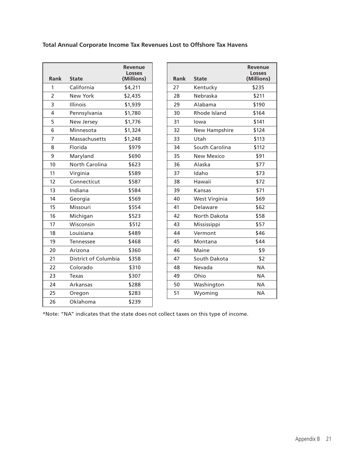#### **Total Annual Corporate Income Tax Revenues Lost to Offshore Tax Havens**

|                      | Revenue<br><b>Losses</b> |
|----------------------|--------------------------|
|                      | (Millions)               |
| California           | \$4,211                  |
| <b>New York</b>      | \$2,435                  |
| Illinois             | \$1,939                  |
| Pennsylvania         | \$1,780                  |
| New Jersey           | \$1,776                  |
| Minnesota            | \$1,324                  |
| Massachusetts        | \$1,248                  |
| Florida              | \$979                    |
| Maryland             | \$690                    |
| North Carolina       | \$623                    |
| Virginia             | \$589                    |
| Connecticut          | \$587                    |
| Indiana              | \$584                    |
| Georgia              | \$569                    |
| Missouri             | \$554                    |
| Michigan             | \$523                    |
| Wisconsin            | \$512                    |
| Louisiana            | \$489                    |
| Tennessee            | \$468                    |
| Arizona              | \$360                    |
| District of Columbia | \$358                    |
| Colorado             | \$310                    |
| Texas                | \$307                    |
| Arkansas             | \$288                    |
| Oregon               | \$283                    |
| Oklahoma             | \$239                    |
|                      | <b>State</b>             |

| Rank | <b>State</b>         | Revenue<br><b>Losses</b><br>(Millions) |
|------|----------------------|----------------------------------------|
| 27   | Kentucky             | \$235                                  |
| 28   | Nebraska             | \$211                                  |
| 29   | Alabama              | \$190                                  |
| 30   | Rhode Island         | \$164                                  |
| 31   | lowa                 | \$141                                  |
| 32   | <b>New Hampshire</b> | \$124                                  |
| 33   | Utah                 | \$113                                  |
| 34   | South Carolina       | \$112                                  |
| 35   | <b>New Mexico</b>    | \$91                                   |
| 36   | Alaska               | \$77                                   |
| 37   | Idaho                | \$73                                   |
| 38   | Hawaii               | \$72                                   |
| 39   | Kansas               | \$71                                   |
| 40   | West Virginia        | \$69                                   |
| 41   | Delaware             | \$62                                   |
| 42   | North Dakota         | \$58                                   |
| 43   | Mississippi          | \$57                                   |
| 44   | Vermont              | \$46                                   |
| 45   | Montana              | \$44                                   |
| 46   | Maine                | \$9                                    |
| 47   | South Dakota         | \$2                                    |
| 48   | Nevada               | <b>NA</b>                              |
| 49   | Ohio                 | NΑ                                     |
| 50   | Washington           | <b>NA</b>                              |
| 51   | Wyoming              | NΑ                                     |

\*Note: "NA" indicates that the state does not collect taxes on this type of income.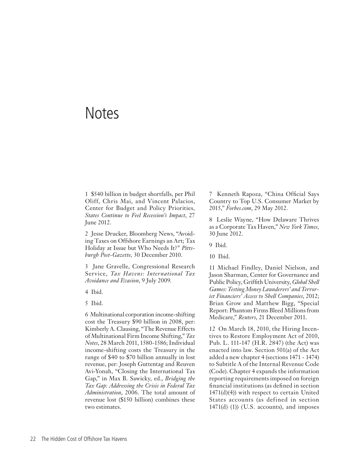### **Notes**

1 \$540 billion in budget shortfalls, per Phil Oliff, Chris Mai, and Vincent Palacios, Center for Budget and Policy Priorities*, States Continue to Feel Recession's Impact*, 27 June 2012.

2 Jesse Drucker, Bloomberg News, "Avoiding Taxes on Offshore Earnings an Art; Tax Holiday at Issue but Who Needs It?" *Pittsburgh Post-Gazette,* 30 December 2010.

3 Jane Gravelle, Congressional Research Service, *Tax Havens: International Tax Avoidance and Evasion*, 9 July 2009.

4 Ibid.

5 Ibid.

6 Multinational corporation income-shifting cost the Treasury \$90 billion in 2008, per: Kimberly A. Clausing, "The Revenue Effects of Multinational Firm Income Shifting," *Tax Notes*, 28 March 2011, 1580-1586; Individual income-shifting costs the Treasury in the range of \$40 to \$70 billion annually in lost revenue, per: Joseph Guttentag and Reuven Avi-Yonah, "Closing the International Tax Gap," in Max B. Sawicky, ed., *Bridging the Tax Gap: Addressing the Crisis in Federal Tax Administration*, 2006. The total amount of revenue lost (\$150 billion) combines these two estimates.

7 Kenneth Rapoza, "China Official Says Country to Top U.S. Consumer Market by 2015," *Forbes.com*, 29 May 2012.

8 Leslie Wayne, "How Delaware Thrives as a Corporate Tax Haven," *New York Times,*  30 June 2012.

9 Ibid.

10 Ibid.

11 Michael Findley, Daniel Nielson, and Jason Sharman, Center for Governance and Public Policy, Griffith University, *Global Shell Games: Testing Money Launderers' and Terrorist Financiers' Access to Shell Companies*, 2012; Brian Grow and Matthew Bigg, "Special Report: Phantom Firms Bleed Millions from Medicare," *Reuters*, 21 December 2011.

12 On March 18, 2010, the Hiring Incentives to Restore Employment Act of 2010, Pub. L. 111-147 (H.R. 2847) (the Act) was enacted into law. Section 501(a) of the Act added a new chapter 4 (sections 1471 - 1474) to Subtitle A of the Internal Revenue Code (Code). Chapter 4 expands the information reporting requirements imposed on foreign financial institutions (as defined in section 1471(d)(4)) with respect to certain United States accounts (as defined in section  $1471(d)$  (1)) (U.S. accounts), and imposes